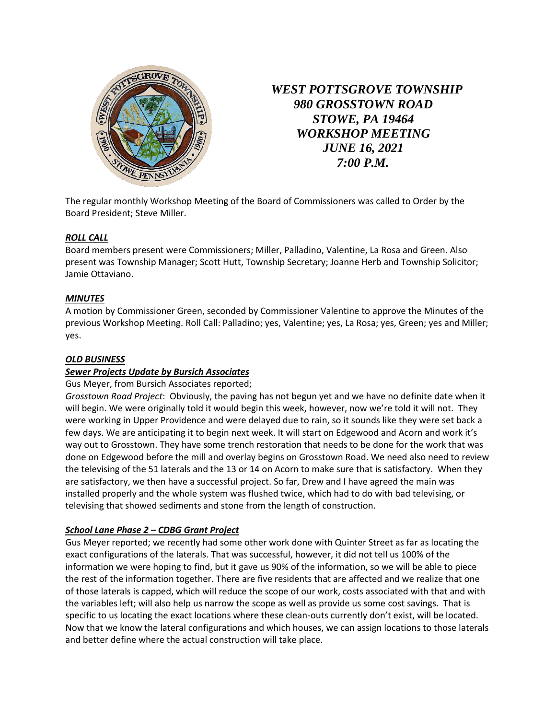

*WEST POTTSGROVE TOWNSHIP 980 GROSSTOWN ROAD STOWE, PA 19464 WORKSHOP MEETING JUNE 16, 2021 7:00 P.M.*

The regular monthly Workshop Meeting of the Board of Commissioners was called to Order by the Board President; Steve Miller.

# *ROLL CALL*

Board members present were Commissioners; Miller, Palladino, Valentine, La Rosa and Green. Also present was Township Manager; Scott Hutt, Township Secretary; Joanne Herb and Township Solicitor; Jamie Ottaviano.

# *MINUTES*

A motion by Commissioner Green, seconded by Commissioner Valentine to approve the Minutes of the previous Workshop Meeting. Roll Call: Palladino; yes, Valentine; yes, La Rosa; yes, Green; yes and Miller; yes.

### *OLD BUSINESS*

# *Sewer Projects Update by Bursich Associates*

#### Gus Meyer, from Bursich Associates reported;

*Grosstown Road Project*: Obviously, the paving has not begun yet and we have no definite date when it will begin. We were originally told it would begin this week, however, now we're told it will not. They were working in Upper Providence and were delayed due to rain, so it sounds like they were set back a few days. We are anticipating it to begin next week. It will start on Edgewood and Acorn and work it's way out to Grosstown. They have some trench restoration that needs to be done for the work that was done on Edgewood before the mill and overlay begins on Grosstown Road. We need also need to review the televising of the 51 laterals and the 13 or 14 on Acorn to make sure that is satisfactory. When they are satisfactory, we then have a successful project. So far, Drew and I have agreed the main was installed properly and the whole system was flushed twice, which had to do with bad televising, or televising that showed sediments and stone from the length of construction.

# *School Lane Phase 2 – CDBG Grant Project*

Gus Meyer reported; we recently had some other work done with Quinter Street as far as locating the exact configurations of the laterals. That was successful, however, it did not tell us 100% of the information we were hoping to find, but it gave us 90% of the information, so we will be able to piece the rest of the information together. There are five residents that are affected and we realize that one of those laterals is capped, which will reduce the scope of our work, costs associated with that and with the variables left; will also help us narrow the scope as well as provide us some cost savings. That is specific to us locating the exact locations where these clean-outs currently don't exist, will be located. Now that we know the lateral configurations and which houses, we can assign locations to those laterals and better define where the actual construction will take place.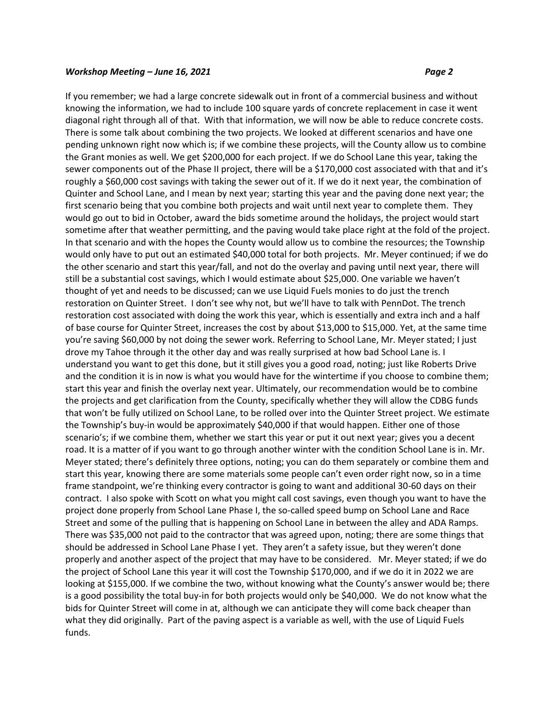If you remember; we had a large concrete sidewalk out in front of a commercial business and without knowing the information, we had to include 100 square yards of concrete replacement in case it went diagonal right through all of that. With that information, we will now be able to reduce concrete costs. There is some talk about combining the two projects. We looked at different scenarios and have one pending unknown right now which is; if we combine these projects, will the County allow us to combine the Grant monies as well. We get \$200,000 for each project. If we do School Lane this year, taking the sewer components out of the Phase II project, there will be a \$170,000 cost associated with that and it's roughly a \$60,000 cost savings with taking the sewer out of it. If we do it next year, the combination of Quinter and School Lane, and I mean by next year; starting this year and the paving done next year; the first scenario being that you combine both projects and wait until next year to complete them. They would go out to bid in October, award the bids sometime around the holidays, the project would start sometime after that weather permitting, and the paving would take place right at the fold of the project. In that scenario and with the hopes the County would allow us to combine the resources; the Township would only have to put out an estimated \$40,000 total for both projects. Mr. Meyer continued; if we do the other scenario and start this year/fall, and not do the overlay and paving until next year, there will still be a substantial cost savings, which I would estimate about \$25,000. One variable we haven't thought of yet and needs to be discussed; can we use Liquid Fuels monies to do just the trench restoration on Quinter Street. I don't see why not, but we'll have to talk with PennDot. The trench restoration cost associated with doing the work this year, which is essentially and extra inch and a half of base course for Quinter Street, increases the cost by about \$13,000 to \$15,000. Yet, at the same time you're saving \$60,000 by not doing the sewer work. Referring to School Lane, Mr. Meyer stated; I just drove my Tahoe through it the other day and was really surprised at how bad School Lane is. I understand you want to get this done, but it still gives you a good road, noting; just like Roberts Drive and the condition it is in now is what you would have for the wintertime if you choose to combine them; start this year and finish the overlay next year. Ultimately, our recommendation would be to combine the projects and get clarification from the County, specifically whether they will allow the CDBG funds that won't be fully utilized on School Lane, to be rolled over into the Quinter Street project. We estimate the Township's buy-in would be approximately \$40,000 if that would happen. Either one of those scenario's; if we combine them, whether we start this year or put it out next year; gives you a decent road. It is a matter of if you want to go through another winter with the condition School Lane is in. Mr. Meyer stated; there's definitely three options, noting; you can do them separately or combine them and start this year, knowing there are some materials some people can't even order right now, so in a time frame standpoint, we're thinking every contractor is going to want and additional 30-60 days on their contract. I also spoke with Scott on what you might call cost savings, even though you want to have the project done properly from School Lane Phase I, the so-called speed bump on School Lane and Race Street and some of the pulling that is happening on School Lane in between the alley and ADA Ramps. There was \$35,000 not paid to the contractor that was agreed upon, noting; there are some things that should be addressed in School Lane Phase I yet. They aren't a safety issue, but they weren't done properly and another aspect of the project that may have to be considered. Mr. Meyer stated; if we do the project of School Lane this year it will cost the Township \$170,000, and if we do it in 2022 we are looking at \$155,000. If we combine the two, without knowing what the County's answer would be; there is a good possibility the total buy-in for both projects would only be \$40,000. We do not know what the bids for Quinter Street will come in at, although we can anticipate they will come back cheaper than what they did originally. Part of the paving aspect is a variable as well, with the use of Liquid Fuels funds.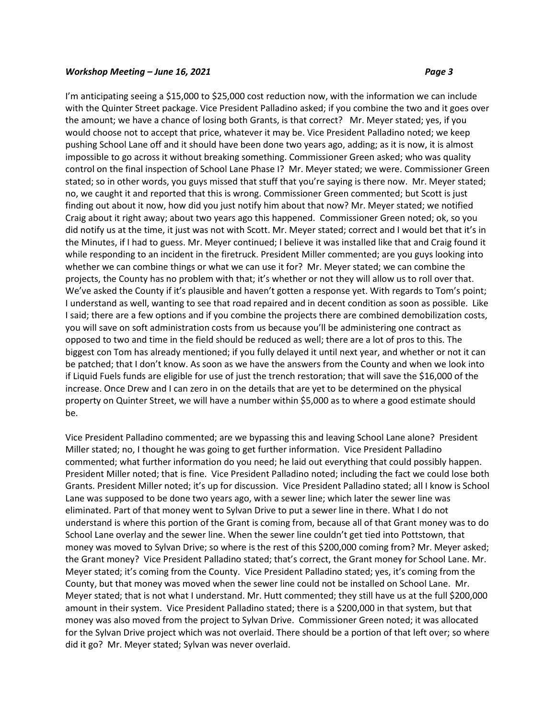I'm anticipating seeing a \$15,000 to \$25,000 cost reduction now, with the information we can include with the Quinter Street package. Vice President Palladino asked; if you combine the two and it goes over the amount; we have a chance of losing both Grants, is that correct? Mr. Meyer stated; yes, if you would choose not to accept that price, whatever it may be. Vice President Palladino noted; we keep pushing School Lane off and it should have been done two years ago, adding; as it is now, it is almost impossible to go across it without breaking something. Commissioner Green asked; who was quality control on the final inspection of School Lane Phase I? Mr. Meyer stated; we were. Commissioner Green stated; so in other words, you guys missed that stuff that you're saying is there now. Mr. Meyer stated; no, we caught it and reported that this is wrong. Commissioner Green commented; but Scott is just finding out about it now, how did you just notify him about that now? Mr. Meyer stated; we notified Craig about it right away; about two years ago this happened. Commissioner Green noted; ok, so you did notify us at the time, it just was not with Scott. Mr. Meyer stated; correct and I would bet that it's in the Minutes, if I had to guess. Mr. Meyer continued; I believe it was installed like that and Craig found it while responding to an incident in the firetruck. President Miller commented; are you guys looking into whether we can combine things or what we can use it for? Mr. Meyer stated; we can combine the projects, the County has no problem with that; it's whether or not they will allow us to roll over that. We've asked the County if it's plausible and haven't gotten a response yet. With regards to Tom's point; I understand as well, wanting to see that road repaired and in decent condition as soon as possible. Like I said; there are a few options and if you combine the projects there are combined demobilization costs, you will save on soft administration costs from us because you'll be administering one contract as opposed to two and time in the field should be reduced as well; there are a lot of pros to this. The biggest con Tom has already mentioned; if you fully delayed it until next year, and whether or not it can be patched; that I don't know. As soon as we have the answers from the County and when we look into if Liquid Fuels funds are eligible for use of just the trench restoration; that will save the \$16,000 of the increase. Once Drew and I can zero in on the details that are yet to be determined on the physical property on Quinter Street, we will have a number within \$5,000 as to where a good estimate should be.

Vice President Palladino commented; are we bypassing this and leaving School Lane alone? President Miller stated; no, I thought he was going to get further information. Vice President Palladino commented; what further information do you need; he laid out everything that could possibly happen. President Miller noted; that is fine. Vice President Palladino noted; including the fact we could lose both Grants. President Miller noted; it's up for discussion. Vice President Palladino stated; all I know is School Lane was supposed to be done two years ago, with a sewer line; which later the sewer line was eliminated. Part of that money went to Sylvan Drive to put a sewer line in there. What I do not understand is where this portion of the Grant is coming from, because all of that Grant money was to do School Lane overlay and the sewer line. When the sewer line couldn't get tied into Pottstown, that money was moved to Sylvan Drive; so where is the rest of this \$200,000 coming from? Mr. Meyer asked; the Grant money? Vice President Palladino stated; that's correct, the Grant money for School Lane. Mr. Meyer stated; it's coming from the County. Vice President Palladino stated; yes, it's coming from the County, but that money was moved when the sewer line could not be installed on School Lane. Mr. Meyer stated; that is not what I understand. Mr. Hutt commented; they still have us at the full \$200,000 amount in their system. Vice President Palladino stated; there is a \$200,000 in that system, but that money was also moved from the project to Sylvan Drive. Commissioner Green noted; it was allocated for the Sylvan Drive project which was not overlaid. There should be a portion of that left over; so where did it go? Mr. Meyer stated; Sylvan was never overlaid.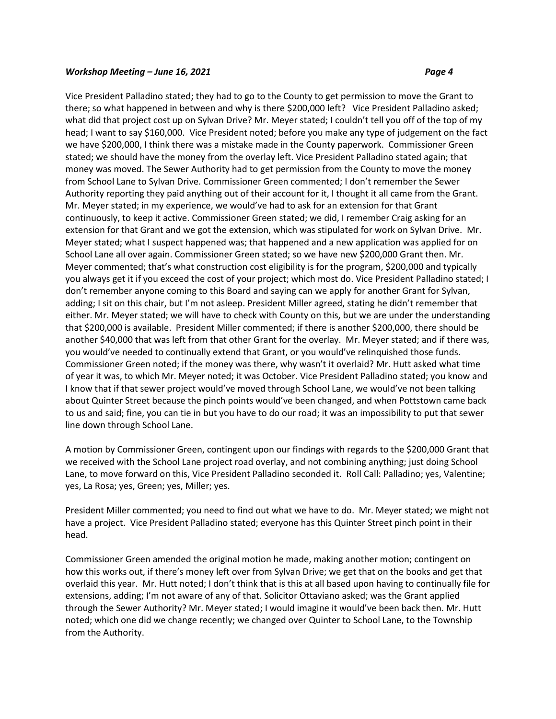Vice President Palladino stated; they had to go to the County to get permission to move the Grant to there; so what happened in between and why is there \$200,000 left? Vice President Palladino asked; what did that project cost up on Sylvan Drive? Mr. Meyer stated; I couldn't tell you off of the top of my head; I want to say \$160,000. Vice President noted; before you make any type of judgement on the fact we have \$200,000, I think there was a mistake made in the County paperwork. Commissioner Green stated; we should have the money from the overlay left. Vice President Palladino stated again; that money was moved. The Sewer Authority had to get permission from the County to move the money from School Lane to Sylvan Drive. Commissioner Green commented; I don't remember the Sewer Authority reporting they paid anything out of their account for it, I thought it all came from the Grant. Mr. Meyer stated; in my experience, we would've had to ask for an extension for that Grant continuously, to keep it active. Commissioner Green stated; we did, I remember Craig asking for an extension for that Grant and we got the extension, which was stipulated for work on Sylvan Drive. Mr. Meyer stated; what I suspect happened was; that happened and a new application was applied for on School Lane all over again. Commissioner Green stated; so we have new \$200,000 Grant then. Mr. Meyer commented; that's what construction cost eligibility is for the program, \$200,000 and typically you always get it if you exceed the cost of your project; which most do. Vice President Palladino stated; I don't remember anyone coming to this Board and saying can we apply for another Grant for Sylvan, adding; I sit on this chair, but I'm not asleep. President Miller agreed, stating he didn't remember that either. Mr. Meyer stated; we will have to check with County on this, but we are under the understanding that \$200,000 is available. President Miller commented; if there is another \$200,000, there should be another \$40,000 that was left from that other Grant for the overlay. Mr. Meyer stated; and if there was, you would've needed to continually extend that Grant, or you would've relinquished those funds. Commissioner Green noted; if the money was there, why wasn't it overlaid? Mr. Hutt asked what time of year it was, to which Mr. Meyer noted; it was October. Vice President Palladino stated; you know and I know that if that sewer project would've moved through School Lane, we would've not been talking about Quinter Street because the pinch points would've been changed, and when Pottstown came back to us and said; fine, you can tie in but you have to do our road; it was an impossibility to put that sewer line down through School Lane.

A motion by Commissioner Green, contingent upon our findings with regards to the \$200,000 Grant that we received with the School Lane project road overlay, and not combining anything; just doing School Lane, to move forward on this, Vice President Palladino seconded it. Roll Call: Palladino; yes, Valentine; yes, La Rosa; yes, Green; yes, Miller; yes.

President Miller commented; you need to find out what we have to do. Mr. Meyer stated; we might not have a project. Vice President Palladino stated; everyone has this Quinter Street pinch point in their head.

Commissioner Green amended the original motion he made, making another motion; contingent on how this works out, if there's money left over from Sylvan Drive; we get that on the books and get that overlaid this year. Mr. Hutt noted; I don't think that is this at all based upon having to continually file for extensions, adding; I'm not aware of any of that. Solicitor Ottaviano asked; was the Grant applied through the Sewer Authority? Mr. Meyer stated; I would imagine it would've been back then. Mr. Hutt noted; which one did we change recently; we changed over Quinter to School Lane, to the Township from the Authority.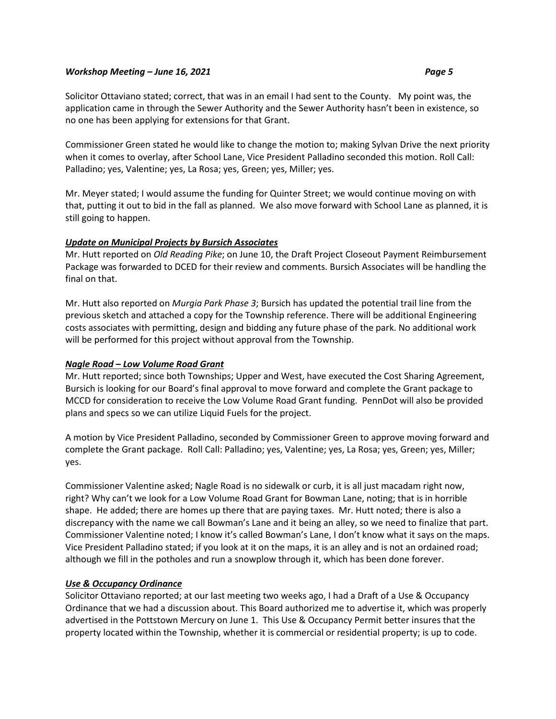Solicitor Ottaviano stated; correct, that was in an email I had sent to the County. My point was, the application came in through the Sewer Authority and the Sewer Authority hasn't been in existence, so no one has been applying for extensions for that Grant.

Commissioner Green stated he would like to change the motion to; making Sylvan Drive the next priority when it comes to overlay, after School Lane, Vice President Palladino seconded this motion. Roll Call: Palladino; yes, Valentine; yes, La Rosa; yes, Green; yes, Miller; yes.

Mr. Meyer stated; I would assume the funding for Quinter Street; we would continue moving on with that, putting it out to bid in the fall as planned. We also move forward with School Lane as planned, it is still going to happen.

# *Update on Municipal Projects by Bursich Associates*

Mr. Hutt reported on *Old Reading Pike*; on June 10, the Draft Project Closeout Payment Reimbursement Package was forwarded to DCED for their review and comments. Bursich Associates will be handling the final on that.

Mr. Hutt also reported on *Murgia Park Phase 3*; Bursich has updated the potential trail line from the previous sketch and attached a copy for the Township reference. There will be additional Engineering costs associates with permitting, design and bidding any future phase of the park. No additional work will be performed for this project without approval from the Township.

# *Nagle Road – Low Volume Road Grant*

Mr. Hutt reported; since both Townships; Upper and West, have executed the Cost Sharing Agreement, Bursich is looking for our Board's final approval to move forward and complete the Grant package to MCCD for consideration to receive the Low Volume Road Grant funding. PennDot will also be provided plans and specs so we can utilize Liquid Fuels for the project.

A motion by Vice President Palladino, seconded by Commissioner Green to approve moving forward and complete the Grant package. Roll Call: Palladino; yes, Valentine; yes, La Rosa; yes, Green; yes, Miller; yes.

Commissioner Valentine asked; Nagle Road is no sidewalk or curb, it is all just macadam right now, right? Why can't we look for a Low Volume Road Grant for Bowman Lane, noting; that is in horrible shape. He added; there are homes up there that are paying taxes. Mr. Hutt noted; there is also a discrepancy with the name we call Bowman's Lane and it being an alley, so we need to finalize that part. Commissioner Valentine noted; I know it's called Bowman's Lane, I don't know what it says on the maps. Vice President Palladino stated; if you look at it on the maps, it is an alley and is not an ordained road; although we fill in the potholes and run a snowplow through it, which has been done forever.

# *Use & Occupancy Ordinance*

Solicitor Ottaviano reported; at our last meeting two weeks ago, I had a Draft of a Use & Occupancy Ordinance that we had a discussion about. This Board authorized me to advertise it, which was properly advertised in the Pottstown Mercury on June 1. This Use & Occupancy Permit better insures that the property located within the Township, whether it is commercial or residential property; is up to code.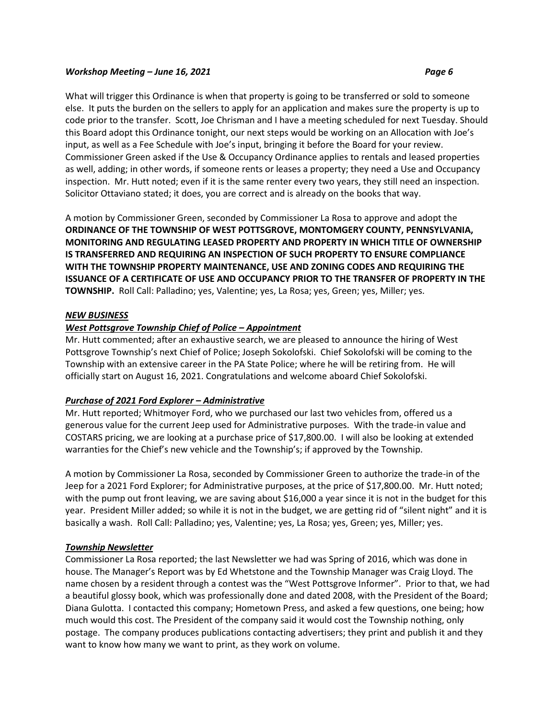What will trigger this Ordinance is when that property is going to be transferred or sold to someone else. It puts the burden on the sellers to apply for an application and makes sure the property is up to code prior to the transfer. Scott, Joe Chrisman and I have a meeting scheduled for next Tuesday. Should this Board adopt this Ordinance tonight, our next steps would be working on an Allocation with Joe's input, as well as a Fee Schedule with Joe's input, bringing it before the Board for your review. Commissioner Green asked if the Use & Occupancy Ordinance applies to rentals and leased properties as well, adding; in other words, if someone rents or leases a property; they need a Use and Occupancy inspection. Mr. Hutt noted; even if it is the same renter every two years, they still need an inspection. Solicitor Ottaviano stated; it does, you are correct and is already on the books that way.

A motion by Commissioner Green, seconded by Commissioner La Rosa to approve and adopt the **ORDINANCE OF THE TOWNSHIP OF WEST POTTSGROVE, MONTOMGERY COUNTY, PENNSYLVANIA, MONITORING AND REGULATING LEASED PROPERTY AND PROPERTY IN WHICH TITLE OF OWNERSHIP IS TRANSFERRED AND REQUIRING AN INSPECTION OF SUCH PROPERTY TO ENSURE COMPLIANCE WITH THE TOWNSHIP PROPERTY MAINTENANCE, USE AND ZONING CODES AND REQUIRING THE ISSUANCE OF A CERTIFICATE OF USE AND OCCUPANCY PRIOR TO THE TRANSFER OF PROPERTY IN THE TOWNSHIP.** Roll Call: Palladino; yes, Valentine; yes, La Rosa; yes, Green; yes, Miller; yes.

# *NEW BUSINESS*

# *West Pottsgrove Township Chief of Police – Appointment*

Mr. Hutt commented; after an exhaustive search, we are pleased to announce the hiring of West Pottsgrove Township's next Chief of Police; Joseph Sokolofski. Chief Sokolofski will be coming to the Township with an extensive career in the PA State Police; where he will be retiring from. He will officially start on August 16, 2021. Congratulations and welcome aboard Chief Sokolofski.

# *Purchase of 2021 Ford Explorer – Administrative*

Mr. Hutt reported; Whitmoyer Ford, who we purchased our last two vehicles from, offered us a generous value for the current Jeep used for Administrative purposes. With the trade-in value and COSTARS pricing, we are looking at a purchase price of \$17,800.00. I will also be looking at extended warranties for the Chief's new vehicle and the Township's; if approved by the Township.

A motion by Commissioner La Rosa, seconded by Commissioner Green to authorize the trade-in of the Jeep for a 2021 Ford Explorer; for Administrative purposes, at the price of \$17,800.00. Mr. Hutt noted; with the pump out front leaving, we are saving about \$16,000 a year since it is not in the budget for this year. President Miller added; so while it is not in the budget, we are getting rid of "silent night" and it is basically a wash. Roll Call: Palladino; yes, Valentine; yes, La Rosa; yes, Green; yes, Miller; yes.

# *Township Newsletter*

Commissioner La Rosa reported; the last Newsletter we had was Spring of 2016, which was done in house. The Manager's Report was by Ed Whetstone and the Township Manager was Craig Lloyd. The name chosen by a resident through a contest was the "West Pottsgrove Informer". Prior to that, we had a beautiful glossy book, which was professionally done and dated 2008, with the President of the Board; Diana Gulotta. I contacted this company; Hometown Press, and asked a few questions, one being; how much would this cost. The President of the company said it would cost the Township nothing, only postage. The company produces publications contacting advertisers; they print and publish it and they want to know how many we want to print, as they work on volume.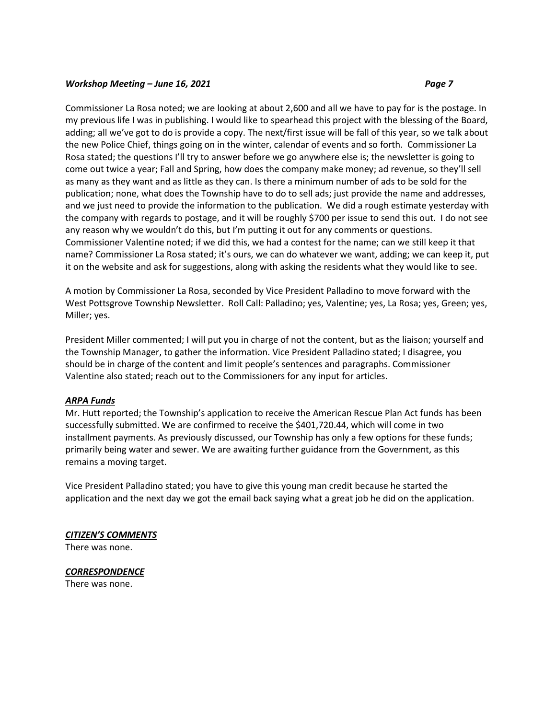Commissioner La Rosa noted; we are looking at about 2,600 and all we have to pay for is the postage. In my previous life I was in publishing. I would like to spearhead this project with the blessing of the Board, adding; all we've got to do is provide a copy. The next/first issue will be fall of this year, so we talk about the new Police Chief, things going on in the winter, calendar of events and so forth. Commissioner La Rosa stated; the questions I'll try to answer before we go anywhere else is; the newsletter is going to come out twice a year; Fall and Spring, how does the company make money; ad revenue, so they'll sell as many as they want and as little as they can. Is there a minimum number of ads to be sold for the publication; none, what does the Township have to do to sell ads; just provide the name and addresses, and we just need to provide the information to the publication. We did a rough estimate yesterday with the company with regards to postage, and it will be roughly \$700 per issue to send this out. I do not see any reason why we wouldn't do this, but I'm putting it out for any comments or questions. Commissioner Valentine noted; if we did this, we had a contest for the name; can we still keep it that name? Commissioner La Rosa stated; it's ours, we can do whatever we want, adding; we can keep it, put it on the website and ask for suggestions, along with asking the residents what they would like to see.

A motion by Commissioner La Rosa, seconded by Vice President Palladino to move forward with the West Pottsgrove Township Newsletter. Roll Call: Palladino; yes, Valentine; yes, La Rosa; yes, Green; yes, Miller; yes.

President Miller commented; I will put you in charge of not the content, but as the liaison; yourself and the Township Manager, to gather the information. Vice President Palladino stated; I disagree, you should be in charge of the content and limit people's sentences and paragraphs. Commissioner Valentine also stated; reach out to the Commissioners for any input for articles.

#### *ARPA Funds*

Mr. Hutt reported; the Township's application to receive the American Rescue Plan Act funds has been successfully submitted. We are confirmed to receive the \$401,720.44, which will come in two installment payments. As previously discussed, our Township has only a few options for these funds; primarily being water and sewer. We are awaiting further guidance from the Government, as this remains a moving target.

Vice President Palladino stated; you have to give this young man credit because he started the application and the next day we got the email back saying what a great job he did on the application.

#### *CITIZEN'S COMMENTS*

There was none.

# *CORRESPONDENCE*

There was none.